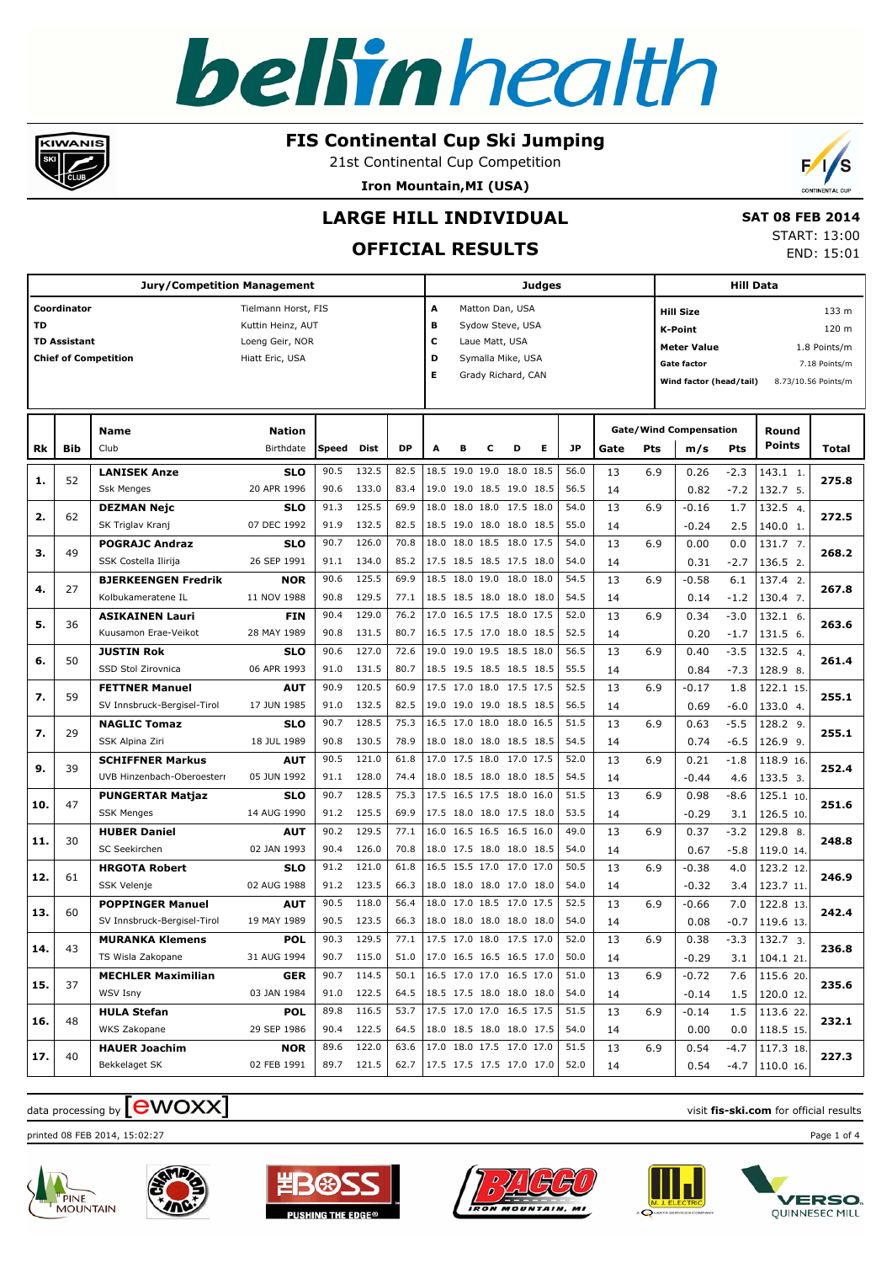

#### **FIS Continental Cup Ski Jumping**

21st Continental Cup Competition

**Iron Mountain,MI (USA)**



## **LARGE HILL INDIVIDUAL**

### **OFFICIAL RESULTS**

 **SAT 08 FEB 2014** START: 13:00 END: 15:01

| <b>Jury/Competition Management</b> |                     |                             |                     |       |            |      | Judges                   |                |                |                          |   |      |      |     | <b>Hill Data</b>                               |        |                   |       |  |
|------------------------------------|---------------------|-----------------------------|---------------------|-------|------------|------|--------------------------|----------------|----------------|--------------------------|---|------|------|-----|------------------------------------------------|--------|-------------------|-------|--|
|                                    | Coordinator         |                             | Tielmann Horst, FIS |       |            |      | А                        |                |                | Matton Dan, USA          |   |      |      |     | <b>Hill Size</b>                               |        |                   | 133 m |  |
| <b>TD</b>                          |                     |                             | Kuttin Heinz, AUT   |       |            |      | В                        |                |                | Sydow Steve, USA         |   |      |      |     | <b>K-Point</b>                                 |        |                   | 120 m |  |
|                                    | <b>TD Assistant</b> |                             | Loeng Geir, NOR     |       |            |      | c                        |                | Laue Matt, USA |                          |   |      |      |     | <b>Meter Value</b><br>1.8 Points/m             |        |                   |       |  |
|                                    |                     | <b>Chief of Competition</b> | Hiatt Eric, USA     |       |            |      | D                        |                |                | Symalla Mike, USA        |   |      |      |     | Gate factor<br>7.18 Points/m                   |        |                   |       |  |
|                                    |                     |                             |                     |       |            |      | Е                        |                |                | Grady Richard, CAN       |   |      |      |     | Wind factor (head/tail)<br>8.73/10.56 Points/m |        |                   |       |  |
|                                    |                     |                             |                     |       |            |      |                          |                |                |                          |   |      |      |     |                                                |        |                   |       |  |
|                                    |                     | <b>Name</b>                 | Nation              |       |            |      |                          |                |                |                          |   |      |      |     | <b>Gate/Wind Compensation</b>                  |        | Round             |       |  |
| Rk                                 | <b>Bib</b>          | Club                        | Birthdate           | Speed | Dist       | DP   | A                        | в              | c              | D                        | Е | JP   | Gate | Pts | m/s                                            | Pts    | Points            | Total |  |
|                                    | 52                  | <b>LANISEK Anze</b>         | <b>SLO</b>          | 90.5  | 132.5      | 82.5 |                          | 18.5 19.0 19.0 |                | 18.0 18.5                |   | 56.0 | 13   | 6.9 | 0.26                                           | $-2.3$ | $143.1 \quad 1.$  | 275.8 |  |
| 1.                                 |                     | <b>Ssk Menges</b>           | 20 APR 1996         | 90.6  | 133.0      | 83.4 |                          |                |                | 19.0 19.0 18.5 19.0 18.5 |   | 56.5 | 14   |     | 0.82                                           | $-7.2$ | 132.7 5.          |       |  |
| 2.                                 | 62                  | <b>DEZMAN Nejc</b>          | <b>SLO</b>          | 91.3  | 125.5      | 69.9 |                          |                |                | 18.0 18.0 18.0 17.5 18.0 |   | 54.0 | 13   | 6.9 | $-0.16$                                        | 1.7    | 132.5 4.          | 272.5 |  |
|                                    |                     | SK Triglav Kranj            | 07 DEC 1992         | 91.9  | 132.5      | 82.5 |                          |                |                | 18.5 19.0 18.0 18.0 18.5 |   | 55.0 | 14   |     | $-0.24$                                        | 2.5    | 140.0 1.          |       |  |
| з.                                 | 49                  | <b>POGRAJC Andraz</b>       | <b>SLO</b>          | 90.7  | 126.0      | 70.8 |                          |                |                | 18.0 18.0 18.5 18.0 17.5 |   | 54.0 | 13   | 6.9 | 0.00                                           | 0.0    | 131.7 7.          | 268.2 |  |
|                                    |                     | SSK Costella Ilirija        | 26 SEP 1991         | 91.1  | 134.0      | 85.2 |                          |                |                | 17.5 18.5 18.5 17.5 18.0 |   | 54.0 | 14   |     | 0.31                                           | $-2.7$ | 136.5 2.          |       |  |
| 4.                                 | 27                  | <b>BJERKEENGEN Fredrik</b>  | <b>NOR</b>          | 90.6  | 125.5      | 69.9 |                          |                |                | 18.5 18.0 19.0 18.0 18.0 |   | 54.5 | 13   | 6.9 | $-0.58$                                        | 6.1    | 137.4 2.          | 267.8 |  |
|                                    |                     | Kolbukameratene IL          | 11 NOV 1988         | 90.8  | 129.5      | 77.1 |                          |                |                | 18.5 18.5 18.0 18.0 18.0 |   | 54.5 | 14   |     | 0.14                                           | $-1.2$ | 130.4 7.          |       |  |
| 5.                                 | 36                  | <b>ASIKAINEN Lauri</b>      | <b>FIN</b>          | 90.4  | 129.0      | 76.2 |                          |                |                | 17.0 16.5 17.5 18.0 17.5 |   | 52.0 | 13   | 6.9 | 0.34                                           | $-3.0$ | 132.1 6.          | 263.6 |  |
|                                    |                     | Kuusamon Erae-Veikot        | 28 MAY 1989         | 90.8  | 131.5      | 80.7 |                          |                |                | 16.5 17.5 17.0 18.0 18.5 |   | 52.5 | 14   |     | 0.20                                           | $-1.7$ | 131.5 6.          |       |  |
| 6.                                 | 50                  | <b>JUSTIN Rok</b>           | <b>SLO</b>          | 90.6  | 127.0      | 72.6 |                          |                |                | 19.0 19.0 19.5 18.5 18.0 |   | 56.5 | 13   | 6.9 | 0.40                                           | $-3.5$ | 132.5 4.          | 261.4 |  |
|                                    |                     | SSD Stol Zirovnica          | 06 APR 1993         | 91.0  | 131.5      | 80.7 |                          |                |                | 18.5 19.5 18.5 18.5 18.5 |   | 55.5 | 14   |     | 0.84                                           | $-7.3$ | 128.9 8.          |       |  |
| 7.                                 | 59                  | <b>FETTNER Manuel</b>       | <b>AUT</b>          | 90.9  | 120.5      | 60.9 |                          |                |                | 17.5 17.0 18.0 17.5 17.5 |   | 52.5 | 13   | 6.9 | -0.17                                          | 1.8    | 122.1 15.         | 255.1 |  |
|                                    |                     | SV Innsbruck-Bergisel-Tirol | 17 JUN 1985         | 91.0  | 132.5      | 82.5 |                          |                |                | 19.0 19.0 19.0 18.5 18.5 |   | 56.5 | 14   |     | 0.69                                           | $-6.0$ | 133.0 4.          |       |  |
| 7.                                 | 29                  | <b>NAGLIC Tomaz</b>         | SLO                 | 90.7  | 128.5      | 75.3 |                          |                |                | 16.5 17.0 18.0 18.0 16.5 |   | 51.5 | 13   | 6.9 | 0.63                                           | $-5.5$ | 128.2 9.          | 255.1 |  |
|                                    |                     | SSK Alpina Ziri             | 18 JUL 1989         | 90.8  | 130.5      | 78.9 |                          |                |                | 18.0 18.0 18.0 18.5 18.5 |   | 54.5 | 14   |     | 0.74                                           | $-6.5$ | $126.9$ 9.        |       |  |
| 9.                                 | 39                  | <b>SCHIFFNER Markus</b>     | <b>AUT</b>          | 90.5  | 121.0      | 61.8 |                          |                |                | 17.0 17.5 18.0 17.0 17.5 |   | 52.0 | 13   | 6.9 | 0.21                                           | $-1.8$ | 118.9 16.         | 252.4 |  |
|                                    |                     | UVB Hinzenbach-Oberoesterr  | 05 JUN 1992         | 91.1  | 128.0      | 74.4 |                          |                |                | 18.0 18.5 18.0 18.0 18.5 |   | 54.5 | 14   |     | $-0.44$                                        | 4.6    | 133.5 3.          |       |  |
| 10.                                | 47                  | <b>PUNGERTAR Matjaz</b>     | SLO                 | 90.7  | 128.5      | 75.3 |                          |                |                | 17.5 16.5 17.5 18.0 16.0 |   | 51.5 | 13   | 6.9 | 0.98                                           | $-8.6$ | 125.1 10.         | 251.6 |  |
|                                    |                     | <b>SSK Menges</b>           | 14 AUG 1990         | 91.2  | 125.5      | 69.9 |                          |                |                | 17.5 18.0 18.0 17.5 18.0 |   | 53.5 | 14   |     | $-0.29$                                        | 3.1    | 126.5 10.         |       |  |
| 11.                                | 30                  | <b>HUBER Daniel</b>         | <b>AUT</b>          | 90.2  | 129.5      | 77.1 |                          |                |                | 16.0 16.5 16.5 16.5 16.0 |   | 49.0 | 13   | 6.9 | 0.37                                           | $-3.2$ | 129.8 8.          | 248.8 |  |
|                                    |                     | SC Seekirchen               | 02 JAN 1993         | 90.4  | 126.0      | 70.8 |                          |                |                | 18.0 17.5 18.0 18.0 18.5 |   | 54.0 | 14   |     | 0.67                                           | $-5.8$ | 119.0 14.         |       |  |
| 12.                                | 61                  | <b>HRGOTA Robert</b>        | <b>SLO</b>          | 91.2  | 121.0      | 61.8 |                          |                |                | 16.5 15.5 17.0 17.0 17.0 |   | 50.5 | 13   | 6.9 | $-0.38$                                        | 4.0    | 123.2 12.         | 246.9 |  |
|                                    |                     | SSK Velenje                 | 02 AUG 1988         | 91.2  | 123.5      | 66.3 |                          |                |                | 18.0 18.0 18.0 17.0 18.0 |   | 54.0 | 14   |     | $-0.32$                                        | 3.4    | 123.7 11.         |       |  |
| 13.                                | 60                  | <b>POPPINGER Manuel</b>     | <b>AUT</b>          | 90.5  | 118.0      | 56.4 |                          |                |                | 18.0 17.0 18.5 17.0 17.5 |   | 52.5 | 13   | 6.9 | $-0.66$                                        | 7.0    | 122.8 13.         | 242.4 |  |
|                                    |                     | SV Innsbruck-Bergisel-Tirol | 19 MAY 1989         | 90.5  | 123.5      | 66.3 |                          |                |                | 18.0 18.0 18.0 18.0 18.0 |   | 54.0 | 14   |     | 0.08                                           | $-0.7$ | 119.6 13.         |       |  |
| 14.                                | 43                  | <b>MURANKA Klemens</b>      | <b>POL</b>          | 90.3  | 129.5      | 77.1 |                          |                |                | 17.5 17.0 18.0 17.5 17.0 |   | 52.0 | 13   | 6.9 | 0.38                                           | $-3.3$ | 132.7 3.          | 236.8 |  |
|                                    |                     | TS Wisla Zakopane           | 31 AUG 1994         |       | 90.7 115.0 | 51.0 | 17.0 16.5 16.5 16.5 17.0 |                |                |                          |   | 50.0 | 14   |     | $-0.29$                                        |        | $3.1$   104.1 21. |       |  |
| 15.                                | 37                  | <b>MECHLER Maximilian</b>   | <b>GER</b>          | 90.7  | 114.5      | 50.1 | 16.5 17.0 17.0 16.5 17.0 |                |                |                          |   | 51.0 | 13   | 6.9 | $-0.72$                                        | 7.6    | 115.620.          | 235.6 |  |
|                                    |                     | WSV Isny                    | 03 JAN 1984         |       | 91.0 122.5 | 64.5 | 18.5 17.5 18.0 18.0 18.0 |                |                |                          |   | 54.0 | 14   |     | $-0.14$                                        |        | $1.5$   120.0 12. |       |  |
| 16.                                | 48                  | <b>HULA Stefan</b>          | <b>POL</b>          | 89.8  | 116.5      | 53.7 |                          |                |                | 17.5 17.0 17.0 16.5 17.5 |   | 51.5 | 13   | 6.9 | $-0.14$                                        | 1.5    | 113.622           | 232.1 |  |
|                                    |                     | WKS Zakopane                | 29 SEP 1986         |       | 90.4 122.5 | 64.5 | 18.0 18.5 18.0 18.0 17.5 |                |                |                          |   | 54.0 | 14   |     | 0.00                                           |        | $0.0$   118.5 15. |       |  |
| 17.                                | 40                  | <b>HAUER Joachim</b>        | <b>NOR</b>          | 89.6  | 122.0      | 63.6 | 17.0 18.0 17.5 17.0 17.0 |                |                |                          |   | 51.5 | 13   | 6.9 | 0.54                                           | $-4.7$ | $117.3$ 18.       | 227.3 |  |
|                                    |                     | Bekkelaget SK               | 02 FEB 1991         |       | 89.7 121.5 | 62.7 | 17.5 17.5 17.5 17.0 17.0 |                |                |                          |   | 52.0 | 14   |     | 0.54                                           |        | $-4.7$ 110.0 16.  |       |  |

## $\frac{1}{2}$  data processing by  $\boxed{\text{ewOX}}$

printed 08 FEB 2014, 15:02:27 Page 1 of 4











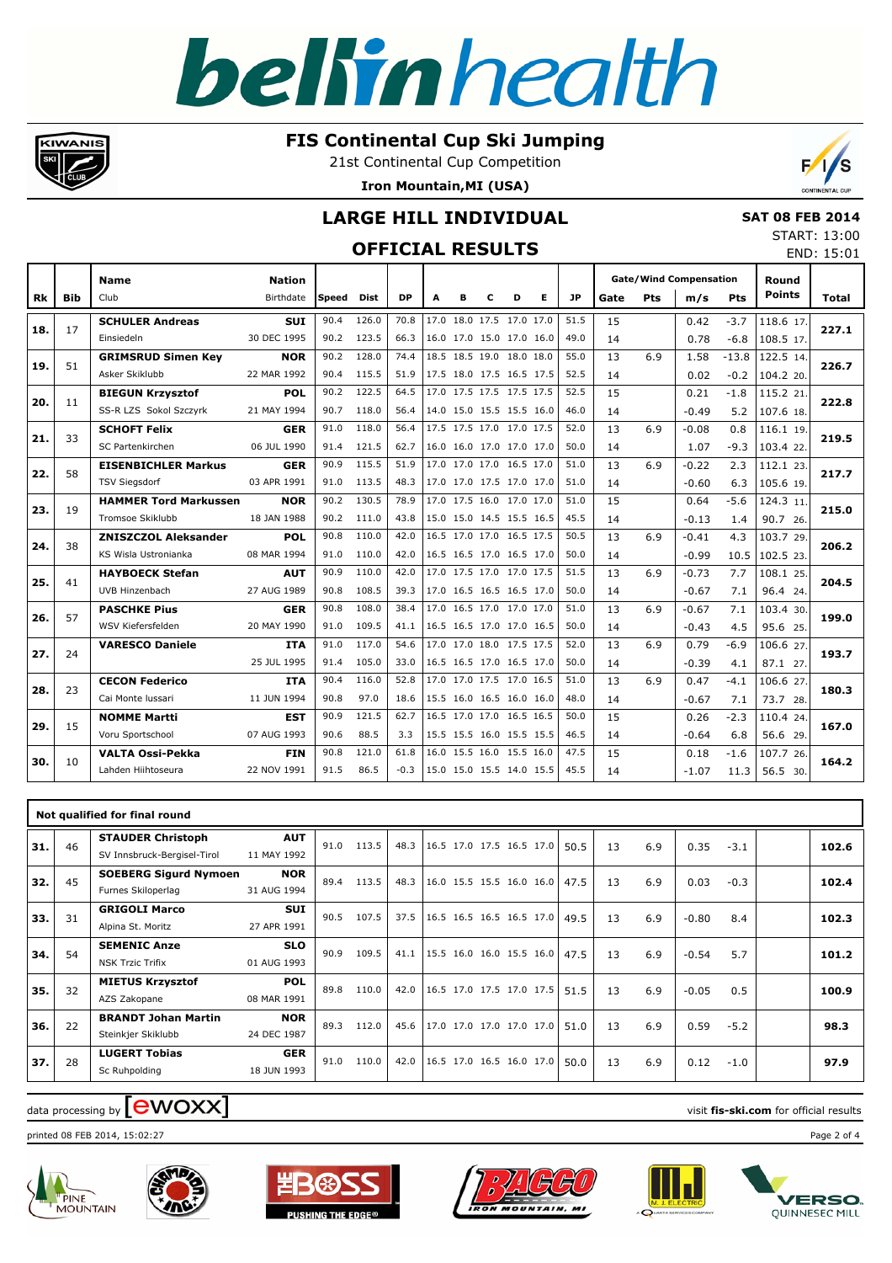#### **FIS Continental Cup Ski Jumping**

21st Continental Cup Competition

**Iron Mountain,MI (USA)**



|  | <b>SAT 08 FEB 2014</b> |
|--|------------------------|
|  | START: 13:00           |
|  | END: 15:01             |

|     |            |                              |                  |       | <b>OFFICIAL RESULTS</b> |           |   |                          |   |   |   |      |      |     |                               |            | <b>START: 13:0</b> | END: 15:0    |
|-----|------------|------------------------------|------------------|-------|-------------------------|-----------|---|--------------------------|---|---|---|------|------|-----|-------------------------------|------------|--------------------|--------------|
|     |            | <b>Name</b>                  | <b>Nation</b>    |       |                         |           |   |                          |   |   |   |      |      |     | <b>Gate/Wind Compensation</b> |            | Round              |              |
| Rk  | <b>Bib</b> | Club                         | <b>Birthdate</b> | Speed | Dist                    | <b>DP</b> | A | в                        | C | D | Е | JP   | Gate | Pts | m/s                           | <b>Pts</b> | <b>Points</b>      | <b>Total</b> |
| 18. | 17         | <b>SCHULER Andreas</b>       | <b>SUI</b>       | 90.4  | 126.0                   | 70.8      |   | 17.0 18.0 17.5 17.0 17.0 |   |   |   | 51.5 | 15   |     | 0.42                          | $-3.7$     | 118.6 17.          | 227.1        |
|     |            | Einsiedeln                   | 30 DEC 1995      | 90.2  | 123.5                   | 66.3      |   | 16.0 17.0 15.0 17.0 16.0 |   |   |   | 49.0 | 14   |     | 0.78                          | $-6.8$     | 108.5 17.          |              |
| 19. | 51         | <b>GRIMSRUD Simen Key</b>    | <b>NOR</b>       | 90.2  | 128.0                   | 74.4      |   | 18.5 18.5 19.0 18.0 18.0 |   |   |   | 55.0 | 13   | 6.9 | 1.58                          | $-13.8$    | 122.5 14.          | 226.7        |
|     |            | Asker Skiklubb               | 22 MAR 1992      | 90.4  | 115.5                   | 51.9      |   | 17.5 18.0 17.5 16.5 17.5 |   |   |   | 52.5 | 14   |     | 0.02                          | $-0.2$     | 104.2 20.          |              |
| 20. | 11         | <b>BIEGUN Krzysztof</b>      | <b>POL</b>       | 90.2  | 122.5                   | 64.5      |   | 17.0 17.5 17.5 17.5 17.5 |   |   |   | 52.5 | 15   |     | 0.21                          | $-1.8$     | 115.2 21.          | 222.8        |
|     |            | SS-R LZS Sokol Szczyrk       | 21 MAY 1994      | 90.7  | 118.0                   | 56.4      |   | 14.0 15.0 15.5 15.5 16.0 |   |   |   | 46.0 | 14   |     | $-0.49$                       | 5.2        | 107.6 18.          |              |
| 21. | 33         | <b>SCHOFT Felix</b>          | <b>GER</b>       | 91.0  | 118.0                   | 56.4      |   | 17.5 17.5 17.0 17.0 17.5 |   |   |   | 52.0 | 13   | 6.9 | $-0.08$                       | 0.8        | 116.1 19.          | 219.5        |
|     |            | SC Partenkirchen             | 06 JUL 1990      | 91.4  | 121.5                   | 62.7      |   | 16.0 16.0 17.0 17.0 17.0 |   |   |   | 50.0 | 14   |     | 1.07                          | $-9.3$     | 103.4 22.          |              |
| 22. | 58         | <b>EISENBICHLER Markus</b>   | <b>GER</b>       | 90.9  | 115.5                   | 51.9      |   | 17.0 17.0 17.0 16.5 17.0 |   |   |   | 51.0 | 13   | 6.9 | $-0.22$                       | 2.3        | 112.1 23.          | 217.7        |
|     |            | <b>TSV Siegsdorf</b>         | 03 APR 1991      | 91.0  | 113.5                   | 48.3      |   | 17.0 17.0 17.5 17.0 17.0 |   |   |   | 51.0 | 14   |     | $-0.60$                       | 6.3        | 105.6 19.          |              |
|     |            | <b>HAMMER Tord Markussen</b> | <b>NOR</b>       | 90.2  | 130.5                   | 78.9      |   | 17.0 17.5 16.0 17.0 17.0 |   |   |   | 51.0 | 15   |     | 0.64                          | $-5.6$     | 124.3 11.          |              |
| 23. | 19         | Tromsoe Skiklubb             | 18 JAN 1988      | 90.2  | 111.0                   | 43.8      |   | 15.0 15.0 14.5 15.5 16.5 |   |   |   | 45.5 | 14   |     | $-0.13$                       | 1.4        | 90.7 26.           | 215.0        |
|     |            | <b>ZNISZCZOL Aleksander</b>  | <b>POL</b>       | 90.8  | 110.0                   | 42.0      |   | 16.5 17.0 17.0 16.5 17.5 |   |   |   | 50.5 | 13   | 6.9 | $-0.41$                       | 4.3        | 103.7 29.          |              |
| 24. | 38         | KS Wisla Ustronianka         | 08 MAR 1994      | 91.0  | 110.0                   | 42.0      |   | 16.5 16.5 17.0 16.5 17.0 |   |   |   | 50.0 | 14   |     | $-0.99$                       | 10.5       | 102.5 23.          | 206.2        |
| 25. | 41         | <b>HAYBOECK Stefan</b>       | <b>AUT</b>       | 90.9  | 110.0                   | 42.0      |   | 17.0 17.5 17.0 17.0 17.5 |   |   |   | 51.5 | 13   | 6.9 | $-0.73$                       | 7.7        | 108.1 25.          | 204.5        |
|     |            | UVB Hinzenbach               | 27 AUG 1989      | 90.8  | 108.5                   | 39.3      |   | 17.0 16.5 16.5 16.5 17.0 |   |   |   | 50.0 | 14   |     | $-0.67$                       | 7.1        | 96.4 24.           |              |
|     |            | <b>PASCHKE Pius</b>          | <b>GER</b>       | 90.8  | 108.0                   | 38.4      |   | 17.0 16.5 17.0 17.0 17.0 |   |   |   | 51.0 | 13   | 6.9 | $-0.67$                       | 7.1        | 103.4 30.          |              |
| 26. | 57         | WSV Kiefersfelden            | 20 MAY 1990      | 91.0  | 109.5                   | 41.1      |   | 16.5 16.5 17.0 17.0 16.5 |   |   |   | 50.0 | 14   |     | $-0.43$                       | 4.5        | 95.6 25.           | 199.0        |
|     |            | <b>VARESCO Daniele</b>       | <b>ITA</b>       | 91.0  | 117.0                   | 54.6      |   | 17.0 17.0 18.0 17.5 17.5 |   |   |   | 52.0 | 13   | 6.9 | 0.79                          | $-6.9$     | 106.6 27.          |              |
| 27. | 24         |                              | 25 JUL 1995      | 91.4  | 105.0                   | 33.0      |   | 16.5 16.5 17.0 16.5 17.0 |   |   |   | 50.0 | 14   |     | $-0.39$                       | 4.1        | 87.1 27.           | 193.7        |
|     |            | <b>CECON Federico</b>        | <b>ITA</b>       | 90.4  | 116.0                   | 52.8      |   | 17.0 17.0 17.5 17.0 16.5 |   |   |   | 51.0 | 13   | 6.9 | 0.47                          | $-4.1$     | 106.6 27.          |              |
| 28. | 23         | Cai Monte Iussari            | 11 JUN 1994      | 90.8  | 97.0                    | 18.6      |   | 15.5 16.0 16.5 16.0 16.0 |   |   |   | 48.0 | 14   |     | $-0.67$                       | 7.1        | 73.7 28.           | 180.3        |
|     |            | <b>NOMME Martti</b>          | <b>EST</b>       | 90.9  | 121.5                   | 62.7      |   | 16.5 17.0 17.0 16.5 16.5 |   |   |   | 50.0 | 15   |     | 0.26                          | $-2.3$     | 110.4 24.          |              |
| 29. | 15         | Voru Sportschool             | 07 AUG 1993      | 90.6  | 88.5                    | 3.3       |   | 15.5 15.5 16.0 15.5 15.5 |   |   |   | 46.5 | 14   |     | $-0.64$                       | 6.8        | 56.6 29.           | 167.0        |
|     |            | <b>VALTA Ossi-Pekka</b>      | <b>FIN</b>       | 90.8  | 121.0                   | 61.8      |   | 16.0 15.5 16.0 15.5 16.0 |   |   |   | 47.5 | 15   |     | 0.18                          | $-1.6$     | 107.7 26.          |              |
| 30. | 10         | Lahden Hiihtoseura           | 22 NOV 1991      | 91.5  | 86.5                    | $-0.3$    |   | 15.0 15.0 15.5 14.0 15.5 |   |   |   | 45.5 | 14   |     | $-1.07$                       | 11.3       | 56.5 30.           | 164.2        |

| 31. | 46 | <b>STAUDER Christoph</b><br>SV Innsbruck-Bergisel-Tirol | <b>AUT</b><br>11 MAY 1992 | 91.0 | 113.5 | 48.3 16.5 17.0 17.5 16.5 17.0   |  | 50.5 | 13 | 6.9 | 0.35    | $-3.1$ | 102.6 |
|-----|----|---------------------------------------------------------|---------------------------|------|-------|---------------------------------|--|------|----|-----|---------|--------|-------|
| 32. | 45 | <b>SOEBERG Sigurd Nymoen</b><br>Furnes Skiloperlag      | <b>NOR</b><br>31 AUG 1994 | 89.4 | 113.5 | 48.3 16.0 15.5 15.5 16.0 16.0   |  | 47.5 | 13 | 6.9 | 0.03    | $-0.3$ | 102.4 |
| 33. | 31 | <b>GRIGOLI Marco</b><br>Alpina St. Moritz               | <b>SUI</b><br>27 APR 1991 | 90.5 | 107.5 | 37.5   16.5 16.5 16.5 16.5 17.0 |  | 49.5 | 13 | 6.9 | $-0.80$ | 8.4    | 102.3 |
| 34. | 54 | <b>SEMENIC Anze</b><br><b>NSK Trzic Trifix</b>          | <b>SLO</b><br>01 AUG 1993 | 90.9 | 109.5 | 41.1   15.5 16.0 16.0 15.5 16.0 |  | 47.5 | 13 | 6.9 | $-0.54$ | 5.7    | 101.2 |
| 35. | 32 | <b>MIETUS Krzysztof</b><br>AZS Zakopane                 | <b>POL</b><br>08 MAR 1991 | 89.8 | 110.0 | 42.0   16.5 17.0 17.5 17.0 17.5 |  | 51.5 | 13 | 6.9 | $-0.05$ | 0.5    | 100.9 |
| 36. | 22 | <b>BRANDT Johan Martin</b><br>Steinkjer Skiklubb        | <b>NOR</b><br>24 DEC 1987 | 89.3 | 112.0 | 45.6 17.0 17.0 17.0 17.0 17.0   |  | 51.0 | 13 | 6.9 | 0.59    | $-5.2$ | 98.3  |
| 37. | 28 | <b>LUGERT Tobias</b><br>Sc Ruhpolding                   | <b>GER</b><br>18 JUN 1993 | 91.0 | 110.0 | 42.0 16.5 17.0 16.5 16.0 17.0   |  | 50.0 | 13 | 6.9 | 0.12    | $-1.0$ | 97.9  |

### $\frac{1}{2}$  data processing by  $\boxed{\text{ewOX}}$

printed 08 FEB 2014, 15:02:27 Page 2 of 4



KIWANIS









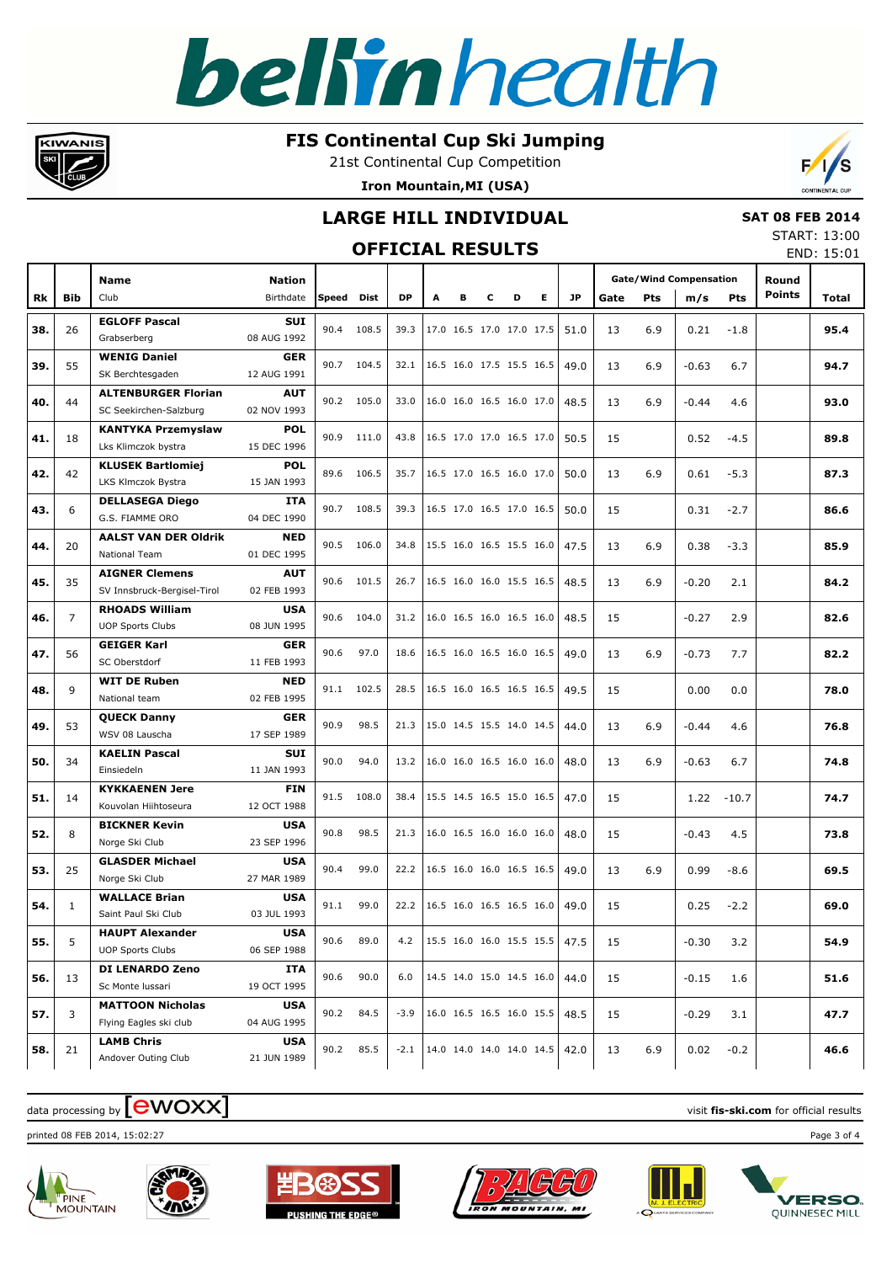#### **FIS Continental Cup Ski Jumping**

21st Continental Cup Competition





### **LARGE HILL INDIVIDUAL**

### **OFFICIAL RESULTS**

 **SAT 08 FEB 2014** START: 13:00

|     |              |                                                      |                           |       | <b>OFFICIAL RESULTS</b> |           |   |   |   |                          |   |           |      |     |                               |            |               | END: 15:01 |
|-----|--------------|------------------------------------------------------|---------------------------|-------|-------------------------|-----------|---|---|---|--------------------------|---|-----------|------|-----|-------------------------------|------------|---------------|------------|
|     |              | <b>Name</b>                                          | <b>Nation</b>             |       |                         |           |   |   |   |                          |   |           |      |     | <b>Gate/Wind Compensation</b> |            | Round         |            |
| Rk  | Bib          | Club                                                 | Birthdate                 | Speed | Dist                    | <b>DP</b> | A | в | c | D                        | Е | <b>JP</b> | Gate | Pts | m/s                           | <b>Pts</b> | <b>Points</b> | Total      |
| 38. | 26           | <b>EGLOFF Pascal</b><br>Grabserberg                  | SUI<br>08 AUG 1992        | 90.4  | 108.5                   | 39.3      |   |   |   | 17.0 16.5 17.0 17.0 17.5 |   | 51.0      | 13   | 6.9 | 0.21                          | $-1.8$     |               | 95.4       |
| 39. | 55           | <b>WENIG Daniel</b><br>SK Berchtesgaden              | <b>GER</b><br>12 AUG 1991 |       | 90.7 104.5              | 32.1      |   |   |   | 16.5 16.0 17.5 15.5 16.5 |   | 49.0      | 13   | 6.9 | $-0.63$                       | 6.7        |               | 94.7       |
| 40. | 44           | <b>ALTENBURGER Florian</b><br>SC Seekirchen-Salzburg | <b>AUT</b><br>02 NOV 1993 |       | 90.2 105.0              | 33.0      |   |   |   | 16.0 16.0 16.5 16.0 17.0 |   | 48.5      | 13   | 6.9 | $-0.44$                       | 4.6        |               | 93.0       |
| 41. | 18           | <b>KANTYKA Przemyslaw</b><br>Lks Klimczok bystra     | <b>POL</b><br>15 DEC 1996 |       | 90.9 111.0              | 43.8      |   |   |   | 16.5 17.0 17.0 16.5 17.0 |   | 50.5      | 15   |     | 0.52                          | $-4.5$     |               | 89.8       |
| 42. | 42           | <b>KLUSEK Bartlomiej</b><br>LKS Klmczok Bystra       | <b>POL</b><br>15 JAN 1993 |       | 89.6 106.5              | 35.7      |   |   |   | 16.5 17.0 16.5 16.0 17.0 |   | 50.0      | 13   | 6.9 | 0.61                          | $-5.3$     |               | 87.3       |
| 43. | 6            | <b>DELLASEGA Diego</b><br>G.S. FIAMME ORO            | ITA<br>04 DEC 1990        |       | 90.7 108.5              | 39.3      |   |   |   | 16.5 17.0 16.5 17.0 16.5 |   | 50.0      | 15   |     | 0.31                          | $-2.7$     |               | 86.6       |
| 44. | 20           | <b>AALST VAN DER Oldrik</b><br>National Team         | <b>NED</b><br>01 DEC 1995 |       | 90.5 106.0              | 34.8      |   |   |   | 15.5 16.0 16.5 15.5 16.0 |   | 47.5      | 13   | 6.9 | 0.38                          | $-3.3$     |               | 85.9       |
| 45. | 35           | <b>AIGNER Clemens</b><br>SV Innsbruck-Bergisel-Tirol | <b>AUT</b><br>02 FEB 1993 |       | 90.6 101.5              | 26.7      |   |   |   | 16.5 16.0 16.0 15.5 16.5 |   | 48.5      | 13   | 6.9 | $-0.20$                       | 2.1        |               | 84.2       |
| 46. | 7            | <b>RHOADS William</b><br><b>UOP Sports Clubs</b>     | <b>USA</b><br>08 JUN 1995 |       | 90.6 104.0              | 31.2      |   |   |   | 16.0 16.5 16.0 16.5 16.0 |   | 48.5      | 15   |     | $-0.27$                       | 2.9        |               | 82.6       |
| 47. | 56           | <b>GEIGER Karl</b><br>SC Oberstdorf                  | <b>GER</b><br>11 FEB 1993 | 90.6  | 97.0                    | 18.6      |   |   |   | 16.5 16.0 16.5 16.0 16.5 |   | 49.0      | 13   | 6.9 | $-0.73$                       | 7.7        |               | 82.2       |
| 48. | 9            | <b>WIT DE Ruben</b><br>National team                 | <b>NED</b><br>02 FEB 1995 |       | 91.1 102.5              | 28.5      |   |   |   | 16.5 16.0 16.5 16.5 16.5 |   | 49.5      | 15   |     | 0.00                          | 0.0        |               | 78.0       |
| 49. | 53           | <b>QUECK Danny</b><br>WSV 08 Lauscha                 | <b>GER</b><br>17 SEP 1989 | 90.9  | 98.5                    | 21.3      |   |   |   | 15.0 14.5 15.5 14.0 14.5 |   | 44.0      | 13   | 6.9 | $-0.44$                       | 4.6        |               | 76.8       |
| 50. | 34           | <b>KAELIN Pascal</b><br>Einsiedeln                   | <b>SUI</b><br>11 JAN 1993 | 90.0  | 94.0                    | 13.2      |   |   |   | 16.0 16.0 16.5 16.0 16.0 |   | 48.0      | 13   | 6.9 | $-0.63$                       | 6.7        |               | 74.8       |
| 51. | 14           | <b>KYKKAENEN Jere</b><br>Kouvolan Hiihtoseura        | <b>FIN</b><br>12 OCT 1988 |       | 91.5 108.0              | 38.4      |   |   |   | 15.5 14.5 16.5 15.0 16.5 |   | 47.0      | 15   |     | 1.22                          | $-10.7$    |               | 74.7       |
| 52. | 8            | <b>BICKNER Kevin</b><br>Norge Ski Club               | <b>USA</b><br>23 SEP 1996 | 90.8  | 98.5                    | 21.3      |   |   |   | 16.0 16.5 16.0 16.0 16.0 |   | 48.0      | 15   |     | $-0.43$                       | 4.5        |               | 73.8       |
| 53. | 25           | <b>GLASDER Michael</b><br>Norge Ski Club             | <b>USA</b><br>27 MAR 1989 | 90.4  | 99.0                    | 22.2      |   |   |   | 16.5 16.0 16.0 16.5 16.5 |   | 49.0      | 13   | 6.9 | 0.99                          | $-8.6$     |               | 69.5       |
| 54. | $\mathbf{1}$ | <b>WALLACE Brian</b><br>Saint Paul Ski Club          | <b>USA</b><br>03 JUL 1993 | 91.1  | 99.0                    | 22.2      |   |   |   | 16.5 16.0 16.5 16.5 16.0 |   | 49.0      | 15   |     | 0.25                          | $-2.2$     |               | 69.0       |
| 55. | 5            | <b>HAUPT Alexander</b><br><b>UOP Sports Clubs</b>    | <b>USA</b><br>06 SEP 1988 | 90.6  | 89.0                    | 4.2       |   |   |   | 15.5 16.0 16.0 15.5 15.5 |   | 47.5      | 15   |     | $-0.30$                       | 3.2        |               | 54.9       |
| 56. | 13           | DI LENARDO Zeno<br>Sc Monte Iussari                  | ITA<br>19 OCT 1995        | 90.6  | 90.0                    | 6.0       |   |   |   | 14.5 14.0 15.0 14.5 16.0 |   | 44.0      | 15   |     | $-0.15$                       | 1.6        |               | 51.6       |
| 57. | 3            | <b>MATTOON Nicholas</b><br>Flying Eagles ski club    | <b>USA</b><br>04 AUG 1995 | 90.2  | 84.5                    | $-3.9$    |   |   |   | 16.0 16.5 16.5 16.0 15.5 |   | 48.5      | 15   |     | $-0.29$                       | 3.1        |               | 47.7       |
| 58. | 21           | <b>LAMB Chris</b><br>Andover Outing Club             | <b>USA</b><br>21 JUN 1989 | 90.2  | 85.5                    | $-2.1$    |   |   |   | 14.0 14.0 14.0 14.0 14.5 |   | 42.0      | 13   | 6.9 | 0.02                          | $-0.2$     |               | 46.6       |

### $\frac{1}{2}$  data processing by  $\boxed{\text{ewOX}}$

printed 08 FEB 2014, 15:02:27 Page 3 of 4



KIWANIS